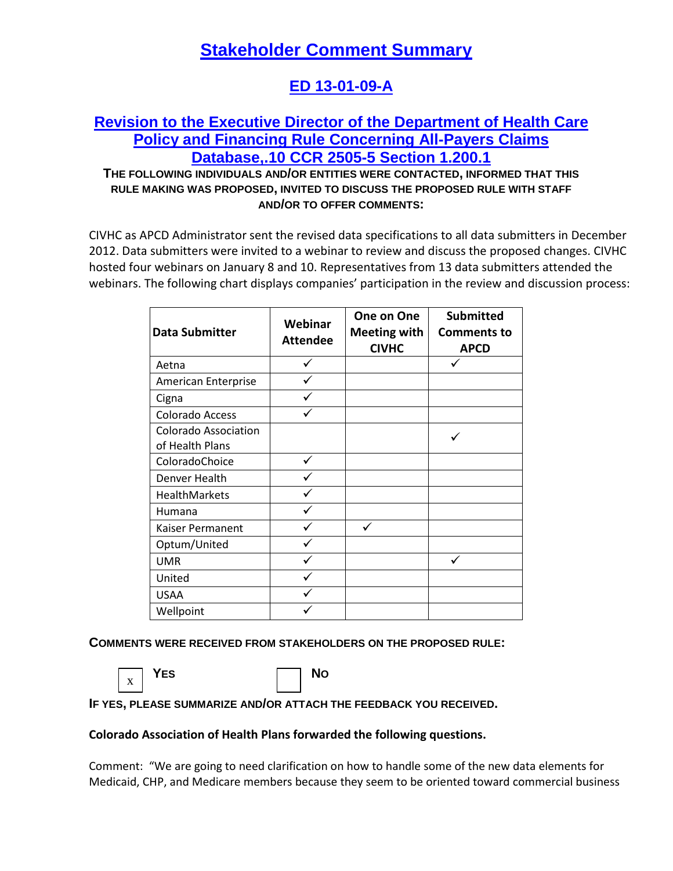# **Stakeholder Comment Summary**

## **ED 13-01-09-A**

## **Revision to the Executive Director of the Department of Health Care Policy and Financing Rule Concerning All-Payers Claims Database,.10 CCR 2505-5 Section 1.200.1**

### **THE FOLLOWING INDIVIDUALS AND/OR ENTITIES WERE CONTACTED, INFORMED THAT THIS RULE MAKING WAS PROPOSED, INVITED TO DISCUSS THE PROPOSED RULE WITH STAFF AND/OR TO OFFER COMMENTS:**

CIVHC as APCD Administrator sent the revised data specifications to all data submitters in December 2012. Data submitters were invited to a webinar to review and discuss the proposed changes. CIVHC hosted four webinars on January 8 and 10. Representatives from 13 data submitters attended the webinars. The following chart displays companies' participation in the review and discussion process:

| <b>Data Submitter</b>                          | Webinar<br><b>Attendee</b> | One on One<br><b>Meeting with</b><br><b>CIVHC</b> | <b>Submitted</b><br><b>Comments to</b><br><b>APCD</b> |
|------------------------------------------------|----------------------------|---------------------------------------------------|-------------------------------------------------------|
| Aetna                                          |                            |                                                   |                                                       |
| American Enterprise                            |                            |                                                   |                                                       |
| Cigna                                          |                            |                                                   |                                                       |
| Colorado Access                                |                            |                                                   |                                                       |
| <b>Colorado Association</b><br>of Health Plans |                            |                                                   |                                                       |
| ColoradoChoice                                 |                            |                                                   |                                                       |
| Denver Health                                  |                            |                                                   |                                                       |
| HealthMarkets                                  |                            |                                                   |                                                       |
| Humana                                         |                            |                                                   |                                                       |
| Kaiser Permanent                               |                            |                                                   |                                                       |
| Optum/United                                   |                            |                                                   |                                                       |
| <b>UMR</b>                                     |                            |                                                   |                                                       |
| United                                         |                            |                                                   |                                                       |
| <b>USAA</b>                                    |                            |                                                   |                                                       |
| Wellpoint                                      |                            |                                                   |                                                       |

**COMMENTS WERE RECEIVED FROM STAKEHOLDERS ON THE PROPOSED RULE:**



**YES** No

**IF YES, PLEASE SUMMARIZE AND/OR ATTACH THE FEEDBACK YOU RECEIVED.**

#### **Colorado Association of Health Plans forwarded the following questions.**

Comment: "We are going to need clarification on how to handle some of the new data elements for Medicaid, CHP, and Medicare members because they seem to be oriented toward commercial business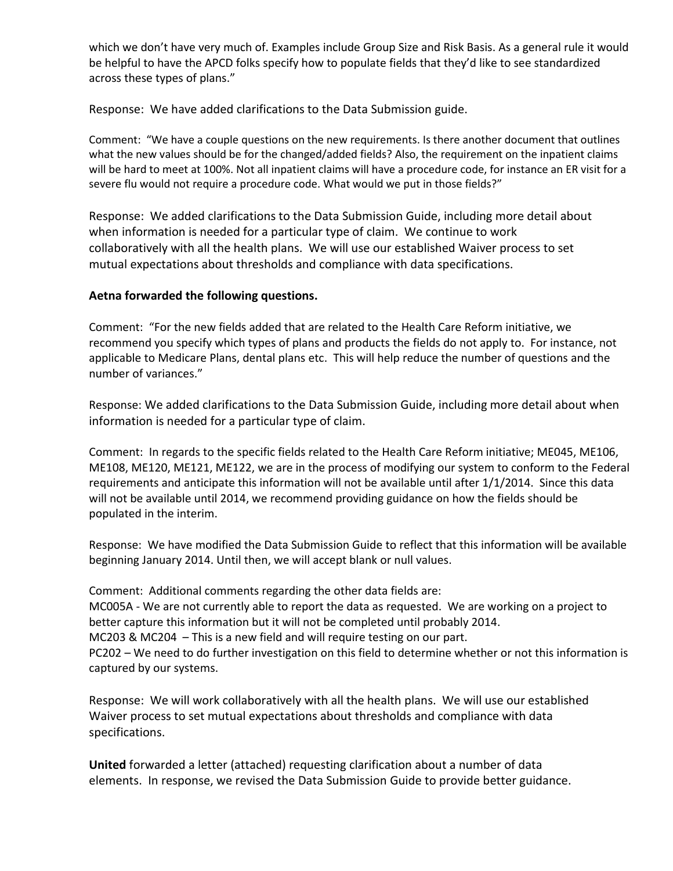which we don't have very much of. Examples include Group Size and Risk Basis. As a general rule it would be helpful to have the APCD folks specify how to populate fields that they'd like to see standardized across these types of plans."

Response: We have added clarifications to the Data Submission guide.

Comment: "We have a couple questions on the new requirements. Is there another document that outlines what the new values should be for the changed/added fields? Also, the requirement on the inpatient claims will be hard to meet at 100%. Not all inpatient claims will have a procedure code, for instance an ER visit for a severe flu would not require a procedure code. What would we put in those fields?"

Response: We added clarifications to the Data Submission Guide, including more detail about when information is needed for a particular type of claim. We continue to work collaboratively with all the health plans. We will use our established Waiver process to set mutual expectations about thresholds and compliance with data specifications.

#### **Aetna forwarded the following questions.**

Comment: "For the new fields added that are related to the Health Care Reform initiative, we recommend you specify which types of plans and products the fields do not apply to. For instance, not applicable to Medicare Plans, dental plans etc. This will help reduce the number of questions and the number of variances."

Response: We added clarifications to the Data Submission Guide, including more detail about when information is needed for a particular type of claim.

Comment: In regards to the specific fields related to the Health Care Reform initiative; ME045, ME106, ME108, ME120, ME121, ME122, we are in the process of modifying our system to conform to the Federal requirements and anticipate this information will not be available until after 1/1/2014. Since this data will not be available until 2014, we recommend providing guidance on how the fields should be populated in the interim.

Response: We have modified the Data Submission Guide to reflect that this information will be available beginning January 2014. Until then, we will accept blank or null values.

Comment: Additional comments regarding the other data fields are: MC005A - We are not currently able to report the data as requested. We are working on a project to better capture this information but it will not be completed until probably 2014. MC203 & MC204 – This is a new field and will require testing on our part. PC202 – We need to do further investigation on this field to determine whether or not this information is captured by our systems.

Response:We will work collaboratively with all the health plans. We will use our established Waiver process to set mutual expectations about thresholds and compliance with data specifications.

**United** forwarded a letter (attached) requesting clarification about a number of data elements. In response, we revised the Data Submission Guide to provide better guidance.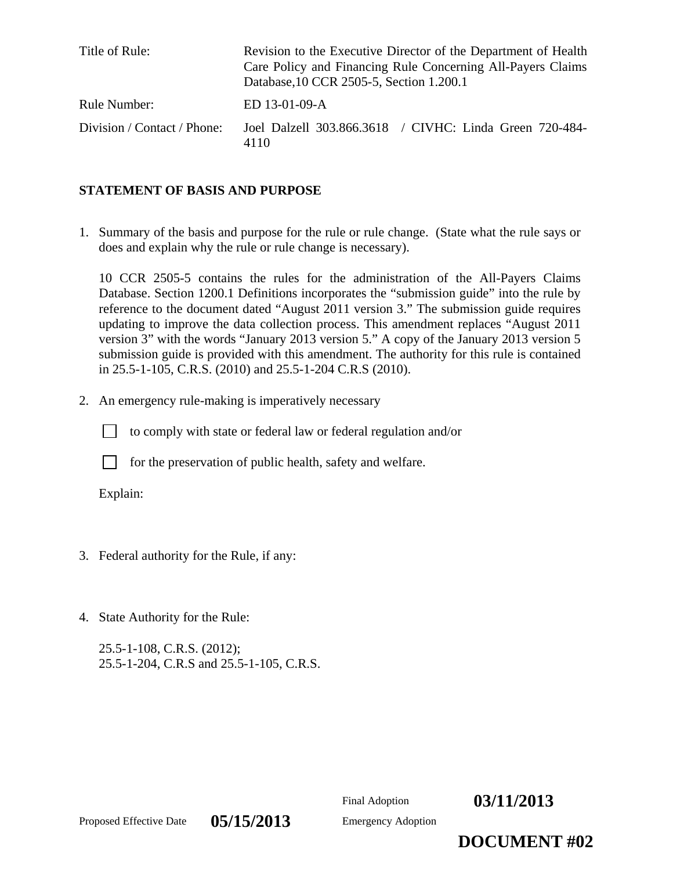| Title of Rule:              | Revision to the Executive Director of the Department of Health<br>Care Policy and Financing Rule Concerning All-Payers Claims<br>Database, 10 CCR 2505-5, Section 1.200.1 |
|-----------------------------|---------------------------------------------------------------------------------------------------------------------------------------------------------------------------|
| Rule Number:                | ED 13-01-09-A                                                                                                                                                             |
| Division / Contact / Phone: | Joel Dalzell 303.866.3618 / CIVHC: Linda Green 720-484-<br>4110                                                                                                           |

#### **STATEMENT OF BASIS AND PURPOSE**

1. Summary of the basis and purpose for the rule or rule change. (State what the rule says or does and explain why the rule or rule change is necessary).

10 CCR 2505-5 contains the rules for the administration of the All-Payers Claims Database. Section 1200.1 Definitions incorporates the "submission guide" into the rule by reference to the document dated "August 2011 version 3." The submission guide requires updating to improve the data collection process. This amendment replaces "August 2011 version 3" with the words "January 2013 version 5." A copy of the January 2013 version 5 submission guide is provided with this amendment. The authority for this rule is contained in 25.5-1-105, C.R.S. (2010) and 25.5-1-204 C.R.S (2010).

2. An emergency rule-making is imperatively necessary

to comply with state or federal law or federal regulation and/or



for the preservation of public health, safety and welfare.

Explain:

- 3. Federal authority for the Rule, if any:
- 4. State Authority for the Rule:

25.5-1-108, C.R.S. (2012); 25.5-1-204, C.R.S and 25.5-1-105, C.R.S.



Proposed Effective Date **05/15/2013** Emergency Adoption

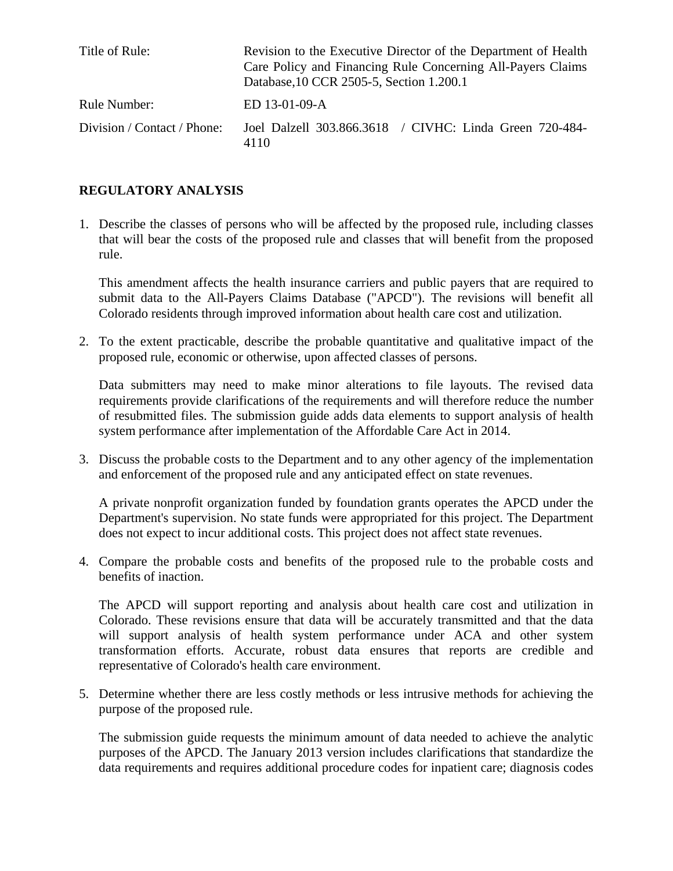| Title of Rule:              | Revision to the Executive Director of the Department of Health<br>Care Policy and Financing Rule Concerning All-Payers Claims<br>Database, 10 CCR 2505-5, Section 1.200.1 |  |
|-----------------------------|---------------------------------------------------------------------------------------------------------------------------------------------------------------------------|--|
| Rule Number:                | ED 13-01-09-A                                                                                                                                                             |  |
| Division / Contact / Phone: | Joel Dalzell 303.866.3618 / CIVHC: Linda Green 720-484-<br>4110                                                                                                           |  |

### **REGULATORY ANALYSIS**

1. Describe the classes of persons who will be affected by the proposed rule, including classes that will bear the costs of the proposed rule and classes that will benefit from the proposed rule.

This amendment affects the health insurance carriers and public payers that are required to submit data to the All-Payers Claims Database ("APCD"). The revisions will benefit all Colorado residents through improved information about health care cost and utilization.

2. To the extent practicable, describe the probable quantitative and qualitative impact of the proposed rule, economic or otherwise, upon affected classes of persons.

Data submitters may need to make minor alterations to file layouts. The revised data requirements provide clarifications of the requirements and will therefore reduce the number of resubmitted files. The submission guide adds data elements to support analysis of health system performance after implementation of the Affordable Care Act in 2014.

3. Discuss the probable costs to the Department and to any other agency of the implementation and enforcement of the proposed rule and any anticipated effect on state revenues.

A private nonprofit organization funded by foundation grants operates the APCD under the Department's supervision. No state funds were appropriated for this project. The Department does not expect to incur additional costs. This project does not affect state revenues.

4. Compare the probable costs and benefits of the proposed rule to the probable costs and benefits of inaction.

The APCD will support reporting and analysis about health care cost and utilization in Colorado. These revisions ensure that data will be accurately transmitted and that the data will support analysis of health system performance under ACA and other system transformation efforts. Accurate, robust data ensures that reports are credible and representative of Colorado's health care environment.

5. Determine whether there are less costly methods or less intrusive methods for achieving the purpose of the proposed rule.

The submission guide requests the minimum amount of data needed to achieve the analytic purposes of the APCD. The January 2013 version includes clarifications that standardize the data requirements and requires additional procedure codes for inpatient care; diagnosis codes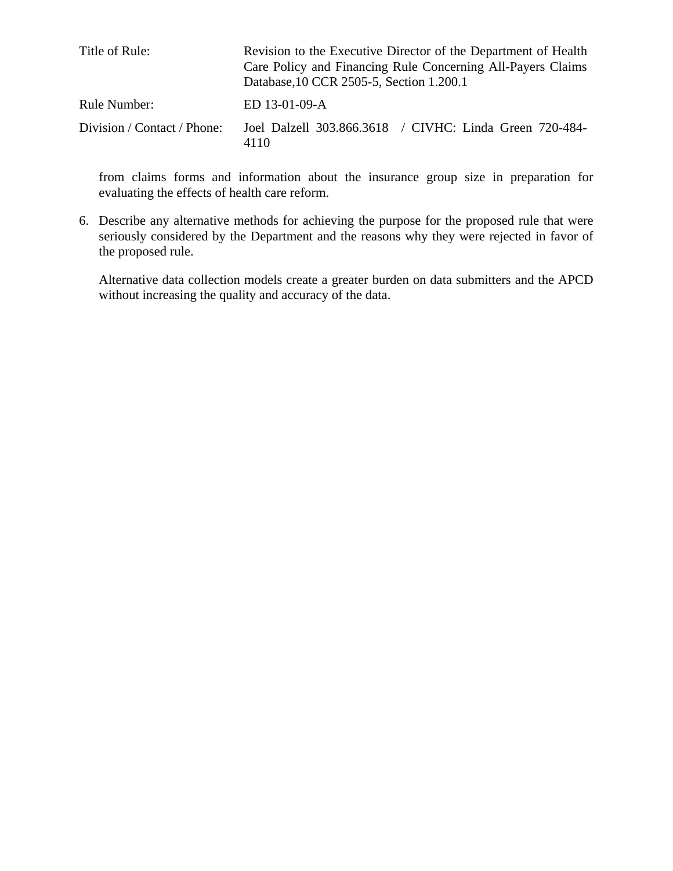| Title of Rule:              | Revision to the Executive Director of the Department of Health<br>Care Policy and Financing Rule Concerning All-Payers Claims<br>Database, 10 CCR 2505-5, Section 1.200.1 |  |
|-----------------------------|---------------------------------------------------------------------------------------------------------------------------------------------------------------------------|--|
| Rule Number:                | ED 13-01-09-A                                                                                                                                                             |  |
| Division / Contact / Phone: | Joel Dalzell 303.866.3618 / CIVHC: Linda Green 720-484-<br>4110                                                                                                           |  |

from claims forms and information about the insurance group size in preparation for evaluating the effects of health care reform.

6. Describe any alternative methods for achieving the purpose for the proposed rule that were seriously considered by the Department and the reasons why they were rejected in favor of the proposed rule.

Alternative data collection models create a greater burden on data submitters and the APCD without increasing the quality and accuracy of the data.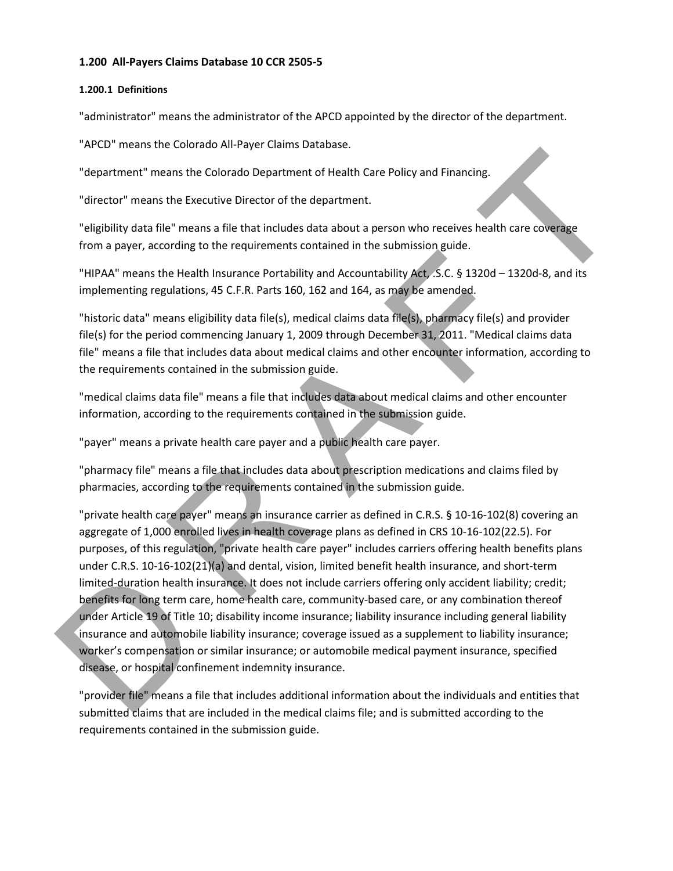#### **1.200 All-Payers Claims Database 10 CCR 2505-5**

#### **1.200.1 Definitions**

"administrator" means the administrator of the APCD appointed by the director of the department.

"APCD" means the Colorado All-Payer Claims Database.

"department" means the Colorado Department of Health Care Policy and Financing.

"director" means the Executive Director of the department.

"eligibility data file" means a file that includes data about a person who receives health care coverage from a payer, according to the requirements contained in the submission guide.

"HIPAA" means the Health Insurance Portability and Accountability Act, .S.C. § 1320d – 1320d-8, and its implementing regulations, 45 C.F.R. Parts 160, 162 and 164, as may be amended.

"historic data" means eligibility data file(s), medical claims data file(s), pharmacy file(s) and provider file(s) for the period commencing January 1, 2009 through December 31, 2011. "Medical claims data file" means a file that includes data about medical claims and other encounter information, according to the requirements contained in the submission guide.

"medical claims data file" means a file that includes data about medical claims and other encounter information, according to the requirements contained in the submission guide.

"payer" means a private health care payer and a public health care payer.

"pharmacy file" means a file that includes data about prescription medications and claims filed by pharmacies, according to the requirements contained in the submission guide.

The method of the method of the diplomation of the submission public the straight of the straight of the method of the diplomatic straight (and the method of the method of the diplomatic straight of the straight of the met "private health care payer" means an insurance carrier as defined in C.R.S. § 10-16-102(8) covering an aggregate of 1,000 enrolled lives in health coverage plans as defined in CRS 10-16-102(22.5). For purposes, of this regulation, "private health care payer" includes carriers offering health benefits plans under C.R.S. 10-16-102(21)(a) and dental, vision, limited benefit health insurance, and short-term limited-duration health insurance. It does not include carriers offering only accident liability; credit; benefits for long term care, home health care, community-based care, or any combination thereof under Article 19 of Title 10; disability income insurance; liability insurance including general liability insurance and automobile liability insurance; coverage issued as a supplement to liability insurance; worker's compensation or similar insurance; or automobile medical payment insurance, specified disease, or hospital confinement indemnity insurance.

"provider file" means a file that includes additional information about the individuals and entities that submitted claims that are included in the medical claims file; and is submitted according to the requirements contained in the submission guide.